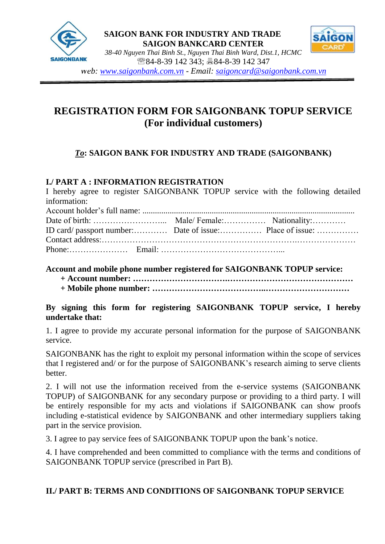

#### **SAIGON BANK FOR INDUSTRY AND TRADE SAIGON BANKCARD CENTER**



*38-40 Nguyen Thai Binh St., Nguyen Thai Binh Ward, Dist.1, HCMC* ■84-8-39 142 343; ■84-8-39 142 347 *Web: [www.saigonbank.com.vn](http://www.saigonbank.com.vn/) - Email: [saigoncard@saigonbank.com.vn](mailto:saigoncard@saigonbank.com.vn)*

# **REGISTRATION FORM FOR SAIGONBANK TOPUP SERVICE (For individual customers)**

# *To***: SAIGON BANK FOR INDUSTRY AND TRADE (SAIGONBANK)**

# **I./ PART A : INFORMATION REGISTRATION**

| I hereby agree to register SAIGONBANK TOPUP service with the following detailed |  |  |
|---------------------------------------------------------------------------------|--|--|
| information:                                                                    |  |  |
|                                                                                 |  |  |
|                                                                                 |  |  |
|                                                                                 |  |  |
|                                                                                 |  |  |
|                                                                                 |  |  |

# **Account and mobile phone number registered for SAIGONBANK TOPUP service:**

 **+ Account number: …………………………….……………………………………… + Mobile phone number: …………………………………..…………………………**

# **By signing this form for registering SAIGONBANK TOPUP service, I hereby undertake that:**

1. I agree to provide my accurate personal information for the purpose of SAIGONBANK service.

SAIGONBANK has the right to exploit my personal information within the scope of services that I registered and/ or for the purpose of SAIGONBANK's research aiming to serve clients better.

2. I will not use the information received from the e-service systems (SAIGONBANK TOPUP) of SAIGONBANK for any secondary purpose or providing to a third party. I will be entirely responsible for my acts and violations if SAIGONBANK can show proofs including e-statistical evidence by SAIGONBANK and other intermediary suppliers taking part in the service provision.

3. I agree to pay service fees of SAIGONBANK TOPUP upon the bank's notice.

4. I have comprehended and been committed to compliance with the terms and conditions of SAIGONBANK TOPUP service (prescribed in Part B).

# **II./ PART B: TERMS AND CONDITIONS OF SAIGONBANK TOPUP SERVICE**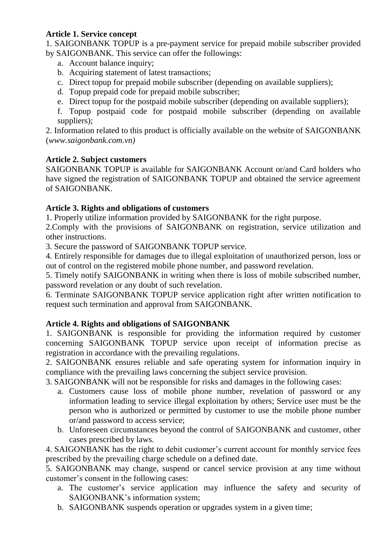# **Article 1. Service concept**

1. SAIGONBANK TOPUP is a pre-payment service for prepaid mobile subscriber provided by SAIGONBANK. This service can offer the followings:

- a. Account balance inquiry;
- b. Acquiring statement of latest transactions;
- c. Direct topup for prepaid mobile subscriber (depending on available suppliers);
- d. Topup prepaid code for prepaid mobile subscriber;
- e. Direct topup for the postpaid mobile subscriber (depending on available suppliers);
- f. Topup postpaid code for postpaid mobile subscriber (depending on available suppliers);

2. Information related to this product is officially available on the website of SAIGONBANK (*www.saigonbank.com.vn)*

# **Article 2. Subject customers**

SAIGONBANK TOPUP is available for SAIGONBANK Account or/and Card holders who have signed the registration of SAIGONBANK TOPUP and obtained the service agreement of SAIGONBANK.

# **Article 3. Rights and obligations of customers**

1. Properly utilize information provided by SAIGONBANK for the right purpose.

2.Comply with the provisions of SAIGONBANK on registration, service utilization and other instructions.

3. Secure the password of SAIGONBANK TOPUP service.

4. Entirely responsible for damages due to illegal exploitation of unauthorized person, loss or out of control on the registered mobile phone number, and password revelation.

5. Timely notify SAIGONBANK in writing when there is loss of mobile subscribed number, password revelation or any doubt of such revelation.

6. Terminate SAIGONBANK TOPUP service application right after written notification to request such termination and approval from SAIGONBANK.

# **Article 4. Rights and obligations of SAIGONBANK**

1. SAIGONBANK is responsible for providing the information required by customer concerning SAIGONBANK TOPUP service upon receipt of information precise as registration in accordance with the prevailing regulations.

2. SAIGONBANK ensures reliable and safe operating system for information inquiry in compliance with the prevailing laws concerning the subject service provision.

3. SAIGONBANK will not be responsible for risks and damages in the following cases:

- a. Customers cause loss of mobile phone number, revelation of password or any information leading to service illegal exploitation by others; Service user must be the person who is authorized or permitted by customer to use the mobile phone number or/and password to access service;
- b. Unforeseen circumstances beyond the control of SAIGONBANK and customer, other cases prescribed by laws.

4. SAIGONBANK has the right to debit customer's current account for monthly service fees prescribed by the prevailing charge schedule on a defined date.

5. SAIGONBANK may change, suspend or cancel service provision at any time without customer's consent in the following cases:

- a. The customer's service application may influence the safety and security of SAIGONBANK's information system;
- b. SAIGONBANK suspends operation or upgrades system in a given time;